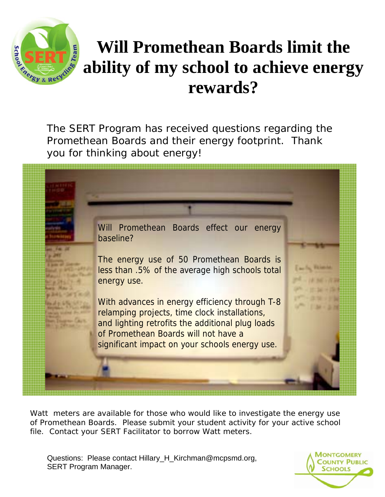

## **Will Promethean Boards limit the ability of my school to achieve energy rewards?**

The SERT Program has received questions regarding the Promethean Boards and their energy footprint. Thank you for thinking about energy!



Watt meters are available for those who would like to investigate the energy use of Promethean Boards. Please submit your student activity for your active school file. Contact your SERT Facilitator to borrow Watt meters.

Questions: Please contact Hillary\_H\_Kirchman@mcpsmd.org, SERT Program Manager.